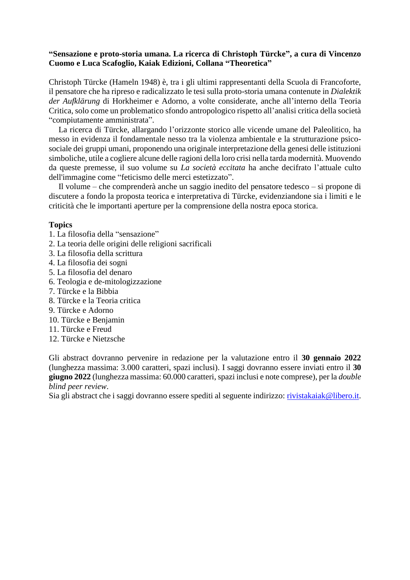## **"Sensazione e proto-storia umana. La ricerca di Christoph Türcke", a cura di Vincenzo Cuomo e Luca Scafoglio, Kaiak Edizioni, Collana "Theoretica"**

Christoph Türcke (Hameln 1948) è, tra i gli ultimi rappresentanti della Scuola di Francoforte, il pensatore che ha ripreso e radicalizzato le tesi sulla proto-storia umana contenute in *Dialektik der Aufklärung* di Horkheimer e Adorno, a volte considerate, anche all'interno della Teoria Critica, solo come un problematico sfondo antropologico rispetto all'analisi critica della società "compiutamente amministrata".

La ricerca di Türcke, allargando l'orizzonte storico alle vicende umane del Paleolitico, ha messo in evidenza il fondamentale nesso tra la violenza ambientale e la strutturazione psicosociale dei gruppi umani, proponendo una originale interpretazione della genesi delle istituzioni simboliche, utile a cogliere alcune delle ragioni della loro crisi nella tarda modernità. Muovendo da queste premesse, il suo volume su *La società eccitata* ha anche decifrato l'attuale culto dell'immagine come "feticismo delle merci estetizzato".

Il volume – che comprenderà anche un saggio inedito del pensatore tedesco – si propone di discutere a fondo la proposta teorica e interpretativa di Türcke, evidenziandone sia i limiti e le criticità che le importanti aperture per la comprensione della nostra epoca storica.

## **Topics**

- 1. La filosofia della "sensazione"
- 2. La teoria delle origini delle religioni sacrificali
- 3. La filosofia della scrittura
- 4. La filosofia dei sogni
- 5. La filosofia del denaro
- 6. Teologia e de-mitologizzazione
- 7. Türcke e la Bibbia
- 8. Türcke e la Teoria critica
- 9. Türcke e Adorno
- 10. Türcke e Benjamin
- 11. Türcke e Freud
- 12. Türcke e Nietzsche

Gli abstract dovranno pervenire in redazione per la valutazione entro il **30 gennaio 2022** (lunghezza massima: 3.000 caratteri, spazi inclusi). I saggi dovranno essere inviati entro il **30 giugno 2022** (lunghezza massima: 60.000 caratteri, spazi inclusi e note comprese), per la *double blind peer review*.

Sia gli abstract che i saggi dovranno essere spediti al seguente indirizzo: [rivistakaiak@libero.it.](mailto:rivistakaiak@libero.it)